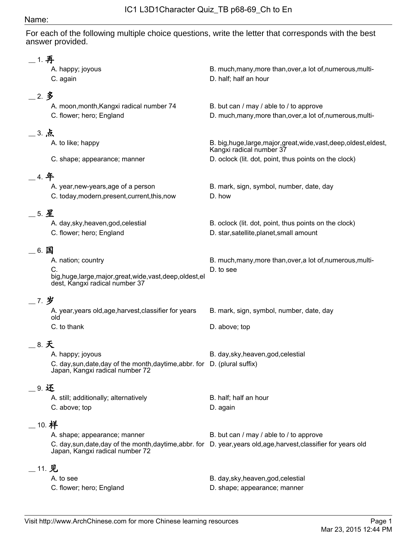#### Name:

For each of the following multiple choice questions, write the letter that corresponds with the best answer provided.

| __ 1. 再    |                                                                                                               |                                                                                                                    |
|------------|---------------------------------------------------------------------------------------------------------------|--------------------------------------------------------------------------------------------------------------------|
|            | A. happy; joyous<br>C. again                                                                                  | B. much, many, more than, over, a lot of, numerous, multi-<br>D. half; half an hour                                |
| $-2.3$     |                                                                                                               |                                                                                                                    |
|            | A. moon, month, Kangxi radical number 74<br>C. flower; hero; England                                          | B. but can / may / able to / to approve<br>D. much, many, more than, over, a lot of, numerous, multi-              |
| __ 3. 点    |                                                                                                               |                                                                                                                    |
|            | A. to like; happy                                                                                             | B. big,huge,large,major,great,wide,vast,deep,oldest,eldest,<br>Kangxi radical number 37                            |
|            | C. shape; appearance; manner                                                                                  | D. oclock (lit. dot, point, thus points on the clock)                                                              |
| _ 4. 年     |                                                                                                               |                                                                                                                    |
|            | A. year, new-years, age of a person<br>C. today, modern, present, current, this, now                          | B. mark, sign, symbol, number, date, day<br>D. how                                                                 |
| $=$ 5. 星   |                                                                                                               |                                                                                                                    |
|            | A. day, sky, heaven, god, celestial<br>C. flower; hero; England                                               | B. oclock (lit. dot, point, thus points on the clock)<br>D. star, satellite, planet, small amount                  |
| _6. 国      |                                                                                                               |                                                                                                                    |
|            | A. nation; country                                                                                            | B. much, many, more than, over, a lot of, numerous, multi-                                                         |
|            | C.<br>big,huge,large,major,great,wide,vast,deep,oldest,el<br>dest, Kangxi radical number 37                   | D, to see                                                                                                          |
| _7.岁       |                                                                                                               |                                                                                                                    |
|            | A. year, years old, age, harvest, classifier for years<br>old                                                 | B. mark, sign, symbol, number, date, day                                                                           |
|            | C. to thank                                                                                                   | D. above; top                                                                                                      |
| __ 8. 天    |                                                                                                               |                                                                                                                    |
|            | A. happy; joyous                                                                                              | B. day, sky, heaven, god, celestial                                                                                |
|            | C. day, sun, date, day of the month, daytime, abbr. for D. (plural suffix)<br>Japan, Kangxi radical number 72 |                                                                                                                    |
| _ 9. 还     |                                                                                                               |                                                                                                                    |
|            | A. still; additionally; alternatively                                                                         | B. half; half an hour                                                                                              |
|            | C. above; top                                                                                                 | D. again                                                                                                           |
| $\_$ 10. 样 |                                                                                                               |                                                                                                                    |
|            | A. shape; appearance; manner                                                                                  | B. but can / may / able to / to approve                                                                            |
|            | Japan, Kangxi radical number 72                                                                               | C. day, sun, date, day of the month, daytime, abbr. for D. year, years old, age, harvest, classifier for years old |
| $-11.$ 见   |                                                                                                               |                                                                                                                    |
|            | A. to see                                                                                                     | B. day, sky, heaven, god, celestial                                                                                |
|            | C. flower; hero; England                                                                                      | D. shape; appearance; manner                                                                                       |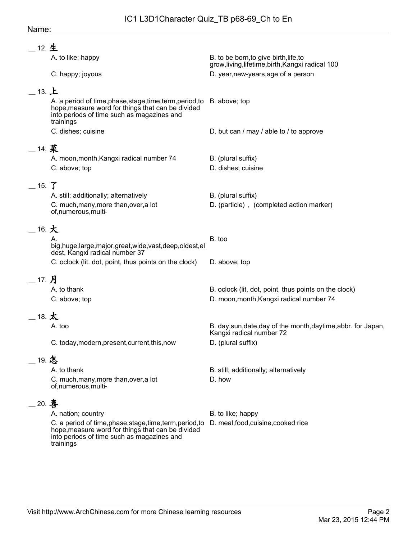| __ 12. 生                       |                                                                                                                                                                                         |                                                                                             |
|--------------------------------|-----------------------------------------------------------------------------------------------------------------------------------------------------------------------------------------|---------------------------------------------------------------------------------------------|
|                                | A. to like; happy                                                                                                                                                                       | B. to be born, to give birth, life, to<br>grow, living, lifetime, birth, Kangxi radical 100 |
|                                | C. happy; joyous                                                                                                                                                                        | D. year, new-years, age of a person                                                         |
| $\_$ 13. $\pm$                 |                                                                                                                                                                                         |                                                                                             |
|                                | A. a period of time, phase, stage, time, term, period, to B. above; top<br>hope, measure word for things that can be divided<br>into periods of time such as magazines and<br>trainings |                                                                                             |
|                                | C. dishes; cuisine                                                                                                                                                                      | D. but can / may / able to / to approve                                                     |
| __ 14. 菜                       |                                                                                                                                                                                         |                                                                                             |
|                                | A. moon, month, Kangxi radical number 74                                                                                                                                                | B. (plural suffix)                                                                          |
|                                | C. above; top                                                                                                                                                                           | D. dishes; cuisine                                                                          |
| $-$ 15. $\mathbf{\mathcal{T}}$ |                                                                                                                                                                                         |                                                                                             |
|                                | A. still; additionally; alternatively                                                                                                                                                   | B. (plural suffix)                                                                          |
|                                | C. much, many, more than, over, a lot<br>of,numerous,multi-                                                                                                                             | D. (particle), (completed action marker)                                                    |
| $\_$ 16. $\pm$                 |                                                                                                                                                                                         |                                                                                             |
|                                | А.<br>big,huge,large,major,great,wide,vast,deep,oldest,el<br>dest, Kangxi radical number 37                                                                                             | B. too                                                                                      |
|                                | C. oclock (lit. dot, point, thus points on the clock)                                                                                                                                   | D. above; top                                                                               |
| __ 17. 月                       |                                                                                                                                                                                         |                                                                                             |
|                                | A. to thank                                                                                                                                                                             | B. oclock (lit. dot, point, thus points on the clock)                                       |
|                                | C. above; top                                                                                                                                                                           | D. moon, month, Kangxi radical number 74                                                    |
| 18. $\bigstar$                 |                                                                                                                                                                                         |                                                                                             |
|                                | A. too                                                                                                                                                                                  | B. day, sun, date, day of the month, day time, abbr. for Japan,<br>Kangxi radical number 72 |
|                                | C. today, modern, present, current, this, now                                                                                                                                           | D. (plural suffix)                                                                          |
| _19. 怎                         |                                                                                                                                                                                         |                                                                                             |
|                                | A. to thank                                                                                                                                                                             | B. still; additionally; alternatively                                                       |
|                                | C. much, many, more than, over, a lot<br>of,numerous,multi-                                                                                                                             | D. how                                                                                      |
| 20. 喜                          |                                                                                                                                                                                         |                                                                                             |
|                                | A. nation; country                                                                                                                                                                      | B. to like; happy                                                                           |
|                                | C. a period of time, phase, stage, time, term, period, to<br>hope, measure word for things that can be divided<br>into periods of time such as magazines and<br>trainings               | D. meal, food, cuisine, cooked rice                                                         |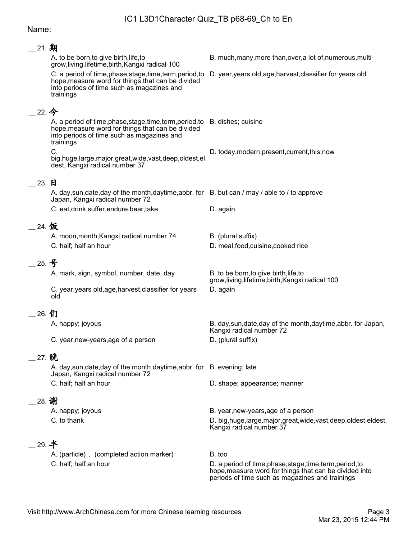#### Name:

| __ 21. 期 |                                                                                                                                                                                              |                                                                                                                                                                        |
|----------|----------------------------------------------------------------------------------------------------------------------------------------------------------------------------------------------|------------------------------------------------------------------------------------------------------------------------------------------------------------------------|
|          | A. to be born, to give birth, life, to<br>grow, living, lifetime, birth, Kangxi radical 100                                                                                                  | B. much, many, more than, over, a lot of, numerous, multi-                                                                                                             |
|          | C. a period of time, phase, stage, time, term, period, to<br>hope, measure word for things that can be divided<br>into periods of time such as magazines and<br>trainings                    | D. year, years old, age, harvest, classifier for years old                                                                                                             |
| $-22.$ 今 |                                                                                                                                                                                              |                                                                                                                                                                        |
|          | A. a period of time, phase, stage, time, term, period, to B. dishes; cuisine<br>hope, measure word for things that can be divided<br>into periods of time such as magazines and<br>trainings |                                                                                                                                                                        |
|          | C.<br>big, huge, large, major, great, wide, vast, deep, oldest, el<br>dest, Kangxi radical number 37                                                                                         | D. today, modern, present, current, this, now                                                                                                                          |
|          |                                                                                                                                                                                              |                                                                                                                                                                        |
| 23. 日    | A. day, sun, date, day of the month, daytime, abbr. for B. but can / may / able to / to approve                                                                                              |                                                                                                                                                                        |
|          | Japan, Kangxi radical number 72                                                                                                                                                              |                                                                                                                                                                        |
|          | C. eat, drink, suffer, endure, bear, take                                                                                                                                                    | D. again                                                                                                                                                               |
| 24. 饭    |                                                                                                                                                                                              |                                                                                                                                                                        |
|          | A. moon, month, Kangxi radical number 74<br>C. half; half an hour                                                                                                                            | B. (plural suffix)<br>D. meal, food, cuisine, cooked rice                                                                                                              |
| 25. 号    |                                                                                                                                                                                              |                                                                                                                                                                        |
|          | A. mark, sign, symbol, number, date, day                                                                                                                                                     | B. to be born, to give birth, life, to<br>grow, living, lifetime, birth, Kangxi radical 100                                                                            |
|          | C. year, years old, age, harvest, classifier for years<br>old                                                                                                                                | D. again                                                                                                                                                               |
| _ 26. 们  |                                                                                                                                                                                              |                                                                                                                                                                        |
|          | A. happy; joyous                                                                                                                                                                             | B. day, sun, date, day of the month, day time, abbr. for Japan,                                                                                                        |
|          | C. year, new-years, age of a person                                                                                                                                                          | Kangxi radical number 72<br>D. (plural suffix)                                                                                                                         |
| 27. 晚    |                                                                                                                                                                                              |                                                                                                                                                                        |
|          | A. day, sun, date, day of the month, daytime, abbr. for B. evening; late<br>Japan, Kangxi radical number 72                                                                                  |                                                                                                                                                                        |
|          | C. half; half an hour                                                                                                                                                                        | D. shape; appearance; manner                                                                                                                                           |
| 28. 谢    |                                                                                                                                                                                              |                                                                                                                                                                        |
|          | A. happy; joyous                                                                                                                                                                             | B. year, new-years, age of a person                                                                                                                                    |
|          | C. to thank                                                                                                                                                                                  | D. big, huge, large, major, great, wide, vast, deep, oldest, eldest,<br>Kangxi radical number 37                                                                       |
| 29. 半    |                                                                                                                                                                                              |                                                                                                                                                                        |
|          | A. (particle), (completed action marker)                                                                                                                                                     | B. too                                                                                                                                                                 |
|          | C. half; half an hour                                                                                                                                                                        | D. a period of time, phase, stage, time, term, period, to<br>hope, measure word for things that can be divided into<br>periods of time such as magazines and trainings |